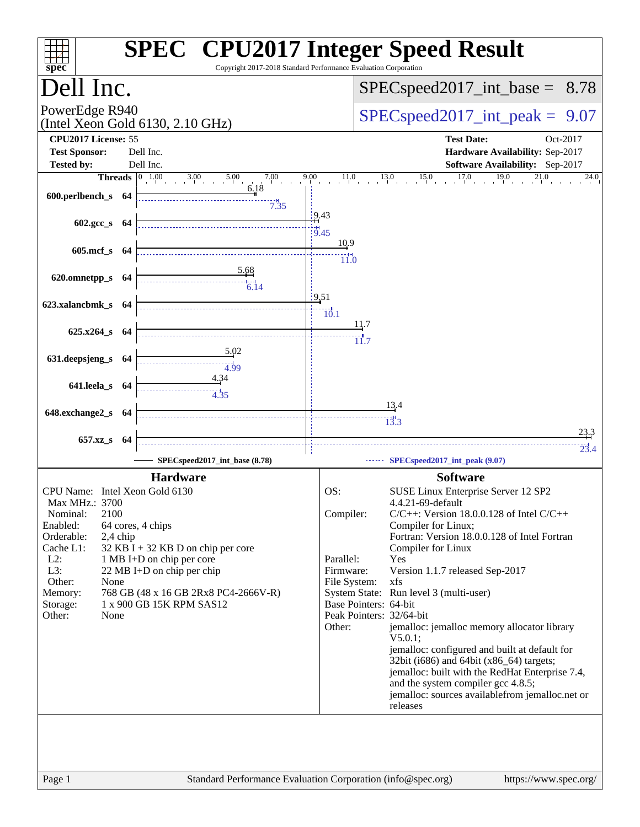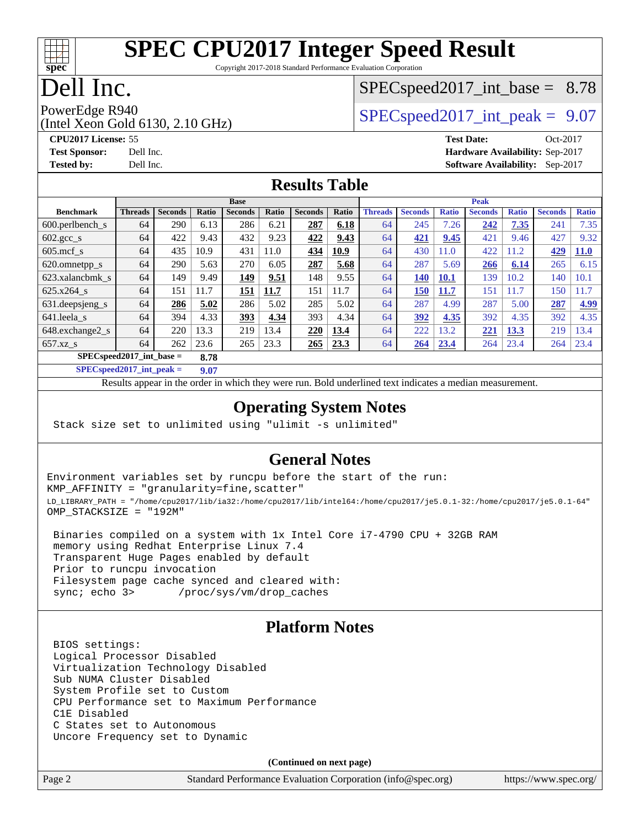

Copyright 2017-2018 Standard Performance Evaluation Corporation

## Dell Inc.

#### $SPECspeed2017\_int\_base = 8.78$

(Intel Xeon Gold 6130, 2.10 GHz)

PowerEdge R940<br>  $SPEC speed2017$  int\_peak = 9.07

**[CPU2017 License:](http://www.spec.org/auto/cpu2017/Docs/result-fields.html#CPU2017License)** 55 **[Test Date:](http://www.spec.org/auto/cpu2017/Docs/result-fields.html#TestDate)** Oct-2017 **[Test Sponsor:](http://www.spec.org/auto/cpu2017/Docs/result-fields.html#TestSponsor)** Dell Inc. **[Hardware Availability:](http://www.spec.org/auto/cpu2017/Docs/result-fields.html#HardwareAvailability)** Sep-2017 **[Tested by:](http://www.spec.org/auto/cpu2017/Docs/result-fields.html#Testedby)** Dell Inc. **[Software Availability:](http://www.spec.org/auto/cpu2017/Docs/result-fields.html#SoftwareAvailability)** Sep-2017

#### **[Results Table](http://www.spec.org/auto/cpu2017/Docs/result-fields.html#ResultsTable)**

|                                      | <b>Base</b>    |                |       |                | <b>Peak</b> |                |       |                |                |              |                |              |                |              |
|--------------------------------------|----------------|----------------|-------|----------------|-------------|----------------|-------|----------------|----------------|--------------|----------------|--------------|----------------|--------------|
| <b>Benchmark</b>                     | <b>Threads</b> | <b>Seconds</b> | Ratio | <b>Seconds</b> | Ratio       | <b>Seconds</b> | Ratio | <b>Threads</b> | <b>Seconds</b> | <b>Ratio</b> | <b>Seconds</b> | <b>Ratio</b> | <b>Seconds</b> | <b>Ratio</b> |
| $600.$ perlbench $_s$                | 64             | 290            | 6.13  | 286            | 6.21        | 287            | 6.18  | 64             | 245            | 7.26         | 242            | 7.35         | 241            | 7.35         |
| $602 \text{.} \text{gcc}\text{_<}$ s | 64             | 422            | 9.43  | 432            | 9.23        | 422            | 9.43  | 64             | 421            | 9.45         | 421            | 9.46         | 427            | 9.32         |
| $605$ .mcf s                         | 64             | 435            | 10.9  | 431            | 11.0        | 434            | 10.9  | 64             | 430            | 11.0         | 422            | 11.2         | 429            | 11.0         |
| 620.omnetpp_s                        | 64             | 290            | 5.63  | 270            | 6.05        | 287            | 5.68  | 64             | 287            | 5.69         | 266            | 6.14         | 265            | 6.15         |
| 623.xalancbmk s                      | 64             | 149            | 9.49  | 149            | 9.51        | 148            | 9.55  | 64             | 140            | <b>10.1</b>  | 139            | 10.2         | 140            | 10.1         |
| 625.x264 s                           | 64             | 151            | 11.7  | 151            | 11.7        | 151            | 11.7  | 64             | 150            | <b>11.7</b>  | 151            | 1.7          | 150            | 11.7         |
| $631.$ deepsjeng s                   | 64             | 286            | 5.02  | 286            | 5.02        | 285            | 5.02  | 64             | 287            | 4.99         | 287            | 5.00         | 287            | 4.99         |
| 641.leela s                          | 64             | 394            | 4.33  | 393            | 4.34        | 393            | 4.34  | 64             | 392            | 4.35         | 392            | 4.35         | 392            | 4.35         |
| 648.exchange2_s                      | 64             | 220            | 13.3  | 219            | 13.4        | 220            | 13.4  | 64             | 222            | 13.2         | 221            | 13.3         | 219            | 13.4         |
| $657.xz$ s                           | 64             | 262            | 23.6  | 265            | 23.3        | 265            | 23.3  | 64             | 264            | 23.4         | 264            | 23.4         | 264            | 23.4         |
| $SPEC speed2017$ int base =          |                |                | 8.78  |                |             |                |       |                |                |              |                |              |                |              |

**[SPECspeed2017\\_int\\_peak =](http://www.spec.org/auto/cpu2017/Docs/result-fields.html#SPECspeed2017intpeak) 9.07**

Results appear in the [order in which they were run.](http://www.spec.org/auto/cpu2017/Docs/result-fields.html#RunOrder) Bold underlined text [indicates a median measurement](http://www.spec.org/auto/cpu2017/Docs/result-fields.html#Median).

#### **[Operating System Notes](http://www.spec.org/auto/cpu2017/Docs/result-fields.html#OperatingSystemNotes)**

Stack size set to unlimited using "ulimit -s unlimited"

#### **[General Notes](http://www.spec.org/auto/cpu2017/Docs/result-fields.html#GeneralNotes)**

Environment variables set by runcpu before the start of the run: KMP\_AFFINITY = "granularity=fine,scatter" LD\_LIBRARY\_PATH = "/home/cpu2017/lib/ia32:/home/cpu2017/lib/intel64:/home/cpu2017/je5.0.1-32:/home/cpu2017/je5.0.1-64" OMP\_STACKSIZE = "192M"

 Binaries compiled on a system with 1x Intel Core i7-4790 CPU + 32GB RAM memory using Redhat Enterprise Linux 7.4 Transparent Huge Pages enabled by default Prior to runcpu invocation Filesystem page cache synced and cleared with: sync; echo 3> /proc/sys/vm/drop\_caches

#### **[Platform Notes](http://www.spec.org/auto/cpu2017/Docs/result-fields.html#PlatformNotes)**

 BIOS settings: Logical Processor Disabled Virtualization Technology Disabled Sub NUMA Cluster Disabled System Profile set to Custom CPU Performance set to Maximum Performance C1E Disabled C States set to Autonomous Uncore Frequency set to Dynamic

**(Continued on next page)**

Page 2 Standard Performance Evaluation Corporation [\(info@spec.org\)](mailto:info@spec.org) <https://www.spec.org/>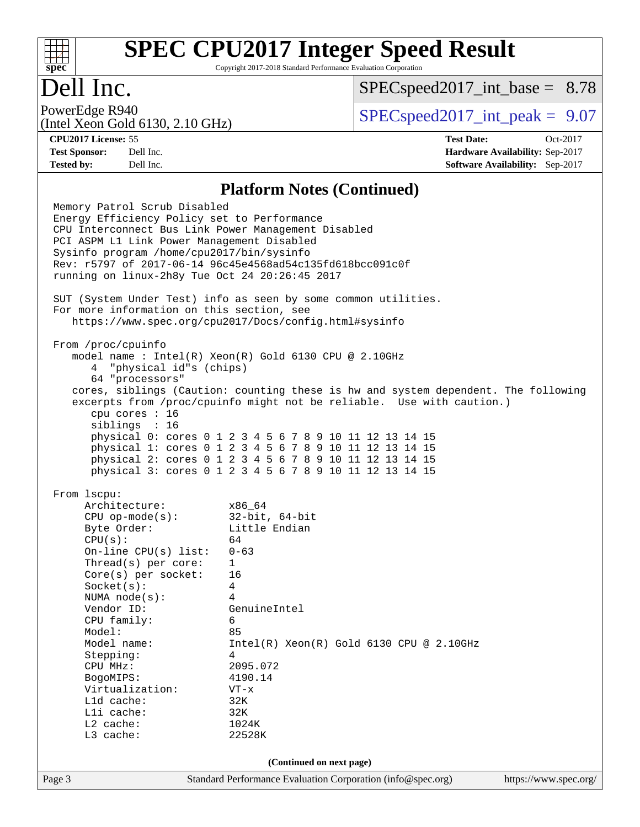

Copyright 2017-2018 Standard Performance Evaluation Corporation

## Dell Inc.

 $SPECspeed2017\_int\_base = 8.78$ 

(Intel Xeon Gold 6130, 2.10 GHz)

PowerEdge R940<br>  $SPEC speed2017$  int\_peak = 9.07

**[CPU2017 License:](http://www.spec.org/auto/cpu2017/Docs/result-fields.html#CPU2017License)** 55 **[Test Date:](http://www.spec.org/auto/cpu2017/Docs/result-fields.html#TestDate)** Oct-2017 **[Test Sponsor:](http://www.spec.org/auto/cpu2017/Docs/result-fields.html#TestSponsor)** Dell Inc. **[Hardware Availability:](http://www.spec.org/auto/cpu2017/Docs/result-fields.html#HardwareAvailability)** Sep-2017 **[Tested by:](http://www.spec.org/auto/cpu2017/Docs/result-fields.html#Testedby)** Dell Inc. **[Software Availability:](http://www.spec.org/auto/cpu2017/Docs/result-fields.html#SoftwareAvailability)** Sep-2017

#### **[Platform Notes \(Continued\)](http://www.spec.org/auto/cpu2017/Docs/result-fields.html#PlatformNotes)**

Page 3 Standard Performance Evaluation Corporation [\(info@spec.org\)](mailto:info@spec.org) <https://www.spec.org/> Memory Patrol Scrub Disabled Energy Efficiency Policy set to Performance CPU Interconnect Bus Link Power Management Disabled PCI ASPM L1 Link Power Management Disabled Sysinfo program /home/cpu2017/bin/sysinfo Rev: r5797 of 2017-06-14 96c45e4568ad54c135fd618bcc091c0f running on linux-2h8y Tue Oct 24 20:26:45 2017 SUT (System Under Test) info as seen by some common utilities. For more information on this section, see <https://www.spec.org/cpu2017/Docs/config.html#sysinfo> From /proc/cpuinfo model name : Intel(R) Xeon(R) Gold 6130 CPU @ 2.10GHz 4 "physical id"s (chips) 64 "processors" cores, siblings (Caution: counting these is hw and system dependent. The following excerpts from /proc/cpuinfo might not be reliable. Use with caution.) cpu cores : 16 siblings : 16 physical 0: cores 0 1 2 3 4 5 6 7 8 9 10 11 12 13 14 15 physical 1: cores 0 1 2 3 4 5 6 7 8 9 10 11 12 13 14 15 physical 2: cores 0 1 2 3 4 5 6 7 8 9 10 11 12 13 14 15 physical 3: cores 0 1 2 3 4 5 6 7 8 9 10 11 12 13 14 15 From lscpu: Architecture: x86\_64 CPU op-mode(s): 32-bit, 64-bit Byte Order: Little Endian  $CPU(s):$  64 On-line CPU(s) list: 0-63 Thread(s) per core: 1 Core(s) per socket: 16 Socket(s): 4 NUMA node(s): 4 Vendor ID: GenuineIntel CPU family: 6 Model: 85 Model name: Intel(R) Xeon(R) Gold 6130 CPU @ 2.10GHz Stepping: 4 CPU MHz: 2095.072 BogoMIPS: 4190.14 Virtualization: VT-x L1d cache: 32K L1i cache: 32K L2 cache: 1024K L3 cache: 22528K **(Continued on next page)**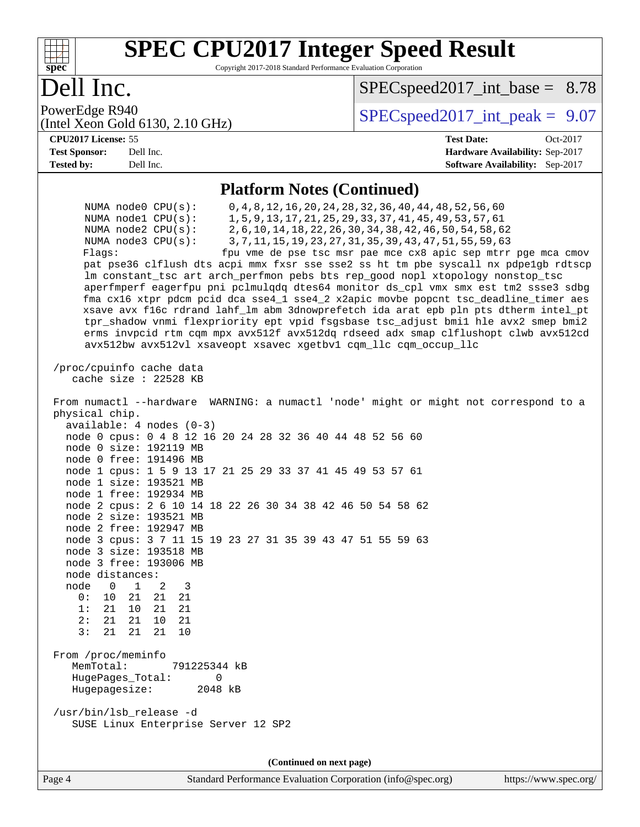| <b>SPEC CPU2017 Integer Speed Result</b><br>Copyright 2017-2018 Standard Performance Evaluation Corporation<br>spec <sup>®</sup>                                                                                                                                                                                                                                                                                                                                                                                                                                                                                                                                                                                                                                                                                                                                                                                                                                                                                                                                                                                                                                                                                                                                                                                                                                                                                                                                                                                                                                                                                                     |                                                                                                                                                                                                                                                                                                                             |
|--------------------------------------------------------------------------------------------------------------------------------------------------------------------------------------------------------------------------------------------------------------------------------------------------------------------------------------------------------------------------------------------------------------------------------------------------------------------------------------------------------------------------------------------------------------------------------------------------------------------------------------------------------------------------------------------------------------------------------------------------------------------------------------------------------------------------------------------------------------------------------------------------------------------------------------------------------------------------------------------------------------------------------------------------------------------------------------------------------------------------------------------------------------------------------------------------------------------------------------------------------------------------------------------------------------------------------------------------------------------------------------------------------------------------------------------------------------------------------------------------------------------------------------------------------------------------------------------------------------------------------------|-----------------------------------------------------------------------------------------------------------------------------------------------------------------------------------------------------------------------------------------------------------------------------------------------------------------------------|
| Dell Inc.                                                                                                                                                                                                                                                                                                                                                                                                                                                                                                                                                                                                                                                                                                                                                                                                                                                                                                                                                                                                                                                                                                                                                                                                                                                                                                                                                                                                                                                                                                                                                                                                                            | $SPEC speed2017\_int\_base = 8.78$                                                                                                                                                                                                                                                                                          |
| PowerEdge R940<br>(Intel Xeon Gold 6130, 2.10 GHz)                                                                                                                                                                                                                                                                                                                                                                                                                                                                                                                                                                                                                                                                                                                                                                                                                                                                                                                                                                                                                                                                                                                                                                                                                                                                                                                                                                                                                                                                                                                                                                                   | $SPEC speed2017\_int\_peak = 9.07$                                                                                                                                                                                                                                                                                          |
| CPU2017 License: 55                                                                                                                                                                                                                                                                                                                                                                                                                                                                                                                                                                                                                                                                                                                                                                                                                                                                                                                                                                                                                                                                                                                                                                                                                                                                                                                                                                                                                                                                                                                                                                                                                  | <b>Test Date:</b><br>Oct-2017                                                                                                                                                                                                                                                                                               |
| <b>Test Sponsor:</b><br>Dell Inc.<br><b>Tested by:</b><br>Dell Inc.                                                                                                                                                                                                                                                                                                                                                                                                                                                                                                                                                                                                                                                                                                                                                                                                                                                                                                                                                                                                                                                                                                                                                                                                                                                                                                                                                                                                                                                                                                                                                                  | Hardware Availability: Sep-2017<br>Software Availability: Sep-2017                                                                                                                                                                                                                                                          |
|                                                                                                                                                                                                                                                                                                                                                                                                                                                                                                                                                                                                                                                                                                                                                                                                                                                                                                                                                                                                                                                                                                                                                                                                                                                                                                                                                                                                                                                                                                                                                                                                                                      |                                                                                                                                                                                                                                                                                                                             |
| <b>Platform Notes (Continued)</b><br>NUMA $node0$ $CPU(s)$ :<br>NUMA nodel CPU(s):<br>NUMA $node2$ $CPU(s):$<br>NUMA node3 CPU(s):<br>Flaqs:<br>pat pse36 clflush dts acpi mmx fxsr sse sse2 ss ht tm pbe syscall nx pdpelgb rdtscp<br>lm constant_tsc art arch_perfmon pebs bts rep_good nopl xtopology nonstop_tsc<br>aperfmperf eagerfpu pni pclmulqdq dtes64 monitor ds_cpl vmx smx est tm2 ssse3 sdbg<br>fma cx16 xtpr pdcm pcid dca sse4_1 sse4_2 x2apic movbe popcnt tsc_deadline_timer aes<br>xsave avx f16c rdrand lahf_lm abm 3dnowprefetch ida arat epb pln pts dtherm intel_pt<br>tpr_shadow vnmi flexpriority ept vpid fsgsbase tsc_adjust bmil hle avx2 smep bmi2<br>erms invpcid rtm cqm mpx avx512f avx512dq rdseed adx smap clflushopt clwb avx512cd<br>avx512bw avx512vl xsaveopt xsavec xgetbvl cqm_llc cqm_occup_llc<br>/proc/cpuinfo cache data<br>cache size : 22528 KB<br>From numactl --hardware WARNING: a numactl 'node' might or might not correspond to a<br>physical chip.<br>$available: 4 nodes (0-3)$<br>node 0 cpus: 0 4 8 12 16 20 24 28 32 36 40 44 48 52 56 60<br>node 0 size: 192119 MB<br>node 0 free: 191496 MB<br>node 1 cpus: 1 5 9 13 17 21 25 29 33 37 41 45 49 53 57 61<br>node 1 size: 193521 MB<br>node 1 free: 192934 MB<br>node 2 cpus: 2 6 10 14 18 22 26 30 34 38 42 46 50 54 58 62<br>node 2 size: 193521 MB<br>node 2 free: 192947 MB<br>node 3 cpus: 3 7 11 15 19 23 27 31 35 39 43 47 51 55 59 63<br>node 3 size: 193518 MB<br>node 3 free: 193006 MB<br>node distances:<br>1<br>node<br>$\overline{0}$<br>2<br>3<br>0 :<br>21<br>10<br>21<br>21<br>21<br>10<br>21<br>21<br>1: | 0, 4, 8, 12, 16, 20, 24, 28, 32, 36, 40, 44, 48, 52, 56, 60<br>1, 5, 9, 13, 17, 21, 25, 29, 33, 37, 41, 45, 49, 53, 57, 61<br>2, 6, 10, 14, 18, 22, 26, 30, 34, 38, 42, 46, 50, 54, 58, 62<br>3, 7, 11, 15, 19, 23, 27, 31, 35, 39, 43, 47, 51, 55, 59, 63<br>fpu vme de pse tsc msr pae mce cx8 apic sep mtrr pge mca cmov |
| 21<br>21<br>21<br>2:<br>10<br>3:<br>21<br>21<br>21<br>10                                                                                                                                                                                                                                                                                                                                                                                                                                                                                                                                                                                                                                                                                                                                                                                                                                                                                                                                                                                                                                                                                                                                                                                                                                                                                                                                                                                                                                                                                                                                                                             |                                                                                                                                                                                                                                                                                                                             |
| From /proc/meminfo<br>MemTotal:<br>791225344 kB<br>HugePages_Total:<br>0<br>Hugepagesize:<br>2048 kB<br>/usr/bin/lsb_release -d<br>SUSE Linux Enterprise Server 12 SP2                                                                                                                                                                                                                                                                                                                                                                                                                                                                                                                                                                                                                                                                                                                                                                                                                                                                                                                                                                                                                                                                                                                                                                                                                                                                                                                                                                                                                                                               |                                                                                                                                                                                                                                                                                                                             |
| (Continued on next page)                                                                                                                                                                                                                                                                                                                                                                                                                                                                                                                                                                                                                                                                                                                                                                                                                                                                                                                                                                                                                                                                                                                                                                                                                                                                                                                                                                                                                                                                                                                                                                                                             |                                                                                                                                                                                                                                                                                                                             |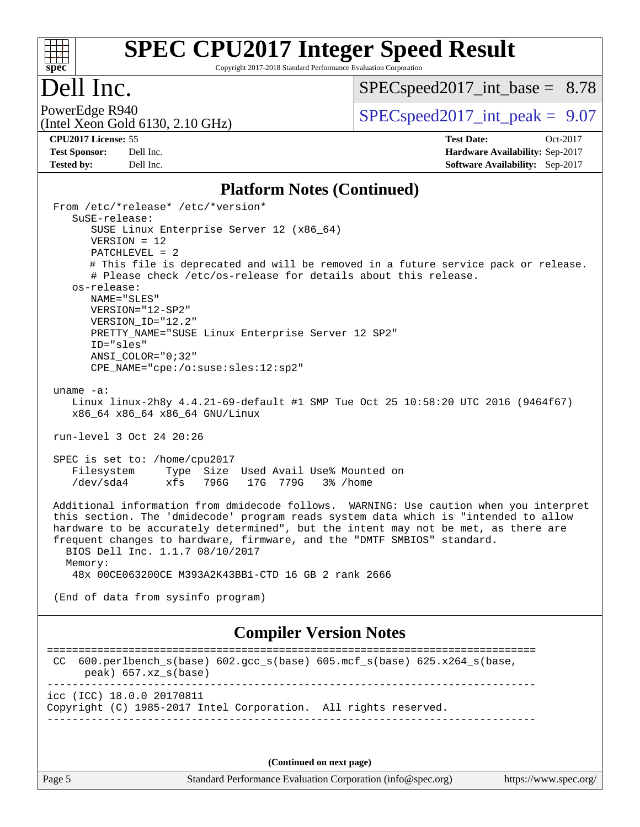

Copyright 2017-2018 Standard Performance Evaluation Corporation

## Dell Inc.

[SPECspeed2017\\_int\\_base =](http://www.spec.org/auto/cpu2017/Docs/result-fields.html#SPECspeed2017intbase) 8.78

PowerEdge R940<br>(Intel Xeon Gold 6130, 2.10 GHz)

 $SPEC speed2017\_int\_peak = 9.07$ 

**[CPU2017 License:](http://www.spec.org/auto/cpu2017/Docs/result-fields.html#CPU2017License)** 55 **[Test Date:](http://www.spec.org/auto/cpu2017/Docs/result-fields.html#TestDate)** Oct-2017 **[Test Sponsor:](http://www.spec.org/auto/cpu2017/Docs/result-fields.html#TestSponsor)** Dell Inc. **[Hardware Availability:](http://www.spec.org/auto/cpu2017/Docs/result-fields.html#HardwareAvailability)** Sep-2017 **[Tested by:](http://www.spec.org/auto/cpu2017/Docs/result-fields.html#Testedby)** Dell Inc. **[Software Availability:](http://www.spec.org/auto/cpu2017/Docs/result-fields.html#SoftwareAvailability)** Sep-2017

#### **[Platform Notes \(Continued\)](http://www.spec.org/auto/cpu2017/Docs/result-fields.html#PlatformNotes)**

| From /etc/*release* /etc/*version*                                                                                                                   |
|------------------------------------------------------------------------------------------------------------------------------------------------------|
| $SUSE-release$<br>SUSE Linux Enterprise Server 12 (x86_64)                                                                                           |
| $VERSION = 12$                                                                                                                                       |
| $PATCHLEVEL = 2$                                                                                                                                     |
| # This file is deprecated and will be removed in a future service pack or release.<br># Please check /etc/os-release for details about this release. |
| os-release:                                                                                                                                          |
| NAME="SLES"                                                                                                                                          |
| VERSION="12-SP2"                                                                                                                                     |
| VERSION_ID="12.2"                                                                                                                                    |
| PRETTY_NAME="SUSE Linux Enterprise Server 12 SP2"<br>$ID="size"$                                                                                     |
| ANSI COLOR="0;32"                                                                                                                                    |
| CPE_NAME="cpe:/o:suse:sles:12:sp2"                                                                                                                   |
|                                                                                                                                                      |
| uname $-a$ :<br>Linux linux-2h8y 4.4.21-69-default #1 SMP Tue Oct 25 10:58:20 UTC 2016 (9464f67)                                                     |
| x86_64 x86_64 x86_64 GNU/Linux                                                                                                                       |
|                                                                                                                                                      |
| run-level 3 Oct 24 20:26                                                                                                                             |
| SPEC is set to: /home/cpu2017                                                                                                                        |
| Filesystem Type Size Used Avail Use% Mounted on                                                                                                      |
| /dev/sda4<br>xfs 796G 17G 779G 3% / home                                                                                                             |
| Additional information from dmidecode follows. WARNING: Use caution when you interpret                                                               |
| this section. The 'dmidecode' program reads system data which is "intended to allow                                                                  |
| hardware to be accurately determined", but the intent may not be met, as there are                                                                   |
| frequent changes to hardware, firmware, and the "DMTF SMBIOS" standard.<br>BIOS Dell Inc. 1.1.7 08/10/2017                                           |
| Memory:                                                                                                                                              |
| 48x 00CE063200CE M393A2K43BB1-CTD 16 GB 2 rank 2666                                                                                                  |
| (End of data from sysinfo program)                                                                                                                   |
|                                                                                                                                                      |
| <b>Compiler Version Notes</b>                                                                                                                        |
| ===================================                                                                                                                  |
| CC 600.perlbench_s(base) 602.gcc_s(base) 605.mcf_s(base) 625.x264_s(base,                                                                            |
| $peak)$ 657.xz_s(base)                                                                                                                               |
| icc (ICC) 18.0.0 20170811                                                                                                                            |
| Copyright (C) 1985-2017 Intel Corporation. All rights reserved.                                                                                      |
|                                                                                                                                                      |
|                                                                                                                                                      |

**(Continued on next page)**

Page 5 Standard Performance Evaluation Corporation [\(info@spec.org\)](mailto:info@spec.org) <https://www.spec.org/>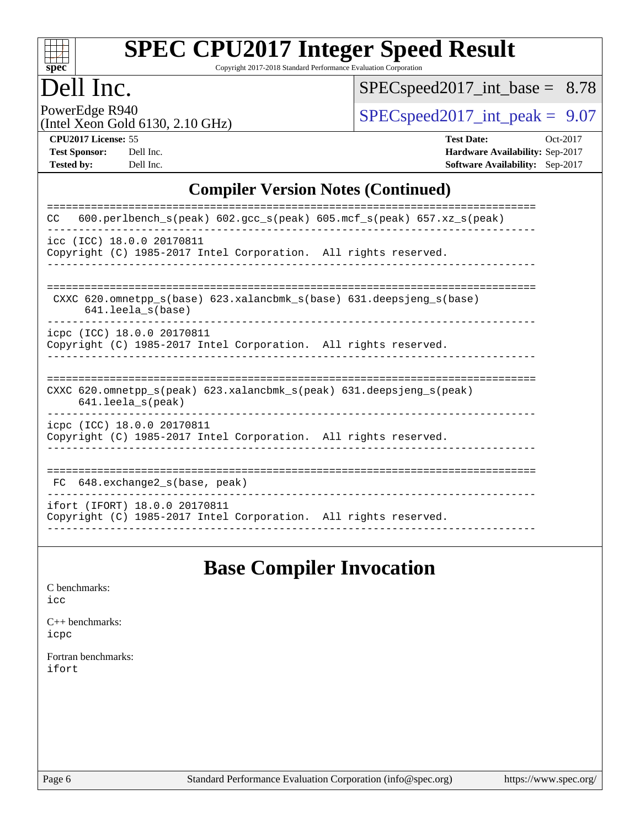

Copyright 2017-2018 Standard Performance Evaluation Corporation

## Dell Inc.

[SPECspeed2017\\_int\\_base =](http://www.spec.org/auto/cpu2017/Docs/result-fields.html#SPECspeed2017intbase) 8.78

PowerEdge R940<br>(Intel Xeon Gold 6130, 2.10 GHz)

 $SPECspeed2017\_int\_peak = 9.07$ 

| <b>CPU2017 License: 55</b> |  |
|----------------------------|--|

| <b>Test Sponsor:</b> |  |  | Dell Ind |
|----------------------|--|--|----------|
| Tested hv:           |  |  | Dell Inc |

**[CPU2017 License:](http://www.spec.org/auto/cpu2017/Docs/result-fields.html#CPU2017License)** 55 **[Test Date:](http://www.spec.org/auto/cpu2017/Docs/result-fields.html#TestDate)** Oct-2017 **[Test Sponsor:](http://www.spec.org/auto/cpu2017/Docs/result-fields.html#TestSponsor)** Deliver Sponsor: Deliver Sponsor: **[Hardware Availability:](http://www.spec.org/auto/cpu2017/Docs/result-fields.html#HardwareAvailability)** Sep-2017 **[Tested by:](http://www.spec.org/auto/cpu2017/Docs/result-fields.html#Testedby)** Dell Inc. **[Software Availability:](http://www.spec.org/auto/cpu2017/Docs/result-fields.html#SoftwareAvailability)** Sep-2017

#### **[Compiler Version Notes \(Continued\)](http://www.spec.org/auto/cpu2017/Docs/result-fields.html#CompilerVersionNotes)**

| 600.perlbench $s$ (peak) 602.gcc $s$ (peak) 605.mcf $s$ (peak) 657.xz $s$ (peak)<br>CC.                                    |
|----------------------------------------------------------------------------------------------------------------------------|
| icc (ICC) 18.0.0 20170811<br>Copyright (C) 1985-2017 Intel Corporation. All rights reserved.                               |
| CXXC 620.omnetpp $s(base)$ 623.xalancbmk $s(base)$ 631.deepsjeng $s(base)$<br>$641.$ leela $s$ (base)                      |
| icpc (ICC) 18.0.0 20170811<br>Copyright (C) 1985-2017 Intel Corporation. All rights reserved.                              |
| CXXC 620.omnetpp $s(\text{peak})$ 623.xalancbmk $s(\text{peak})$ 631.deepsjeng $s(\text{peak})$<br>$641.$ leela $s$ (peak) |
| icpc (ICC) 18.0.0 20170811<br>Copyright (C) 1985-2017 Intel Corporation. All rights reserved.                              |
| 648.exchange2 s(base, peak)<br>FC                                                                                          |
| ifort (IFORT) 18.0.0 20170811<br>Copyright (C) 1985-2017 Intel Corporation. All rights reserved.                           |
|                                                                                                                            |

#### **[Base Compiler Invocation](http://www.spec.org/auto/cpu2017/Docs/result-fields.html#BaseCompilerInvocation)**

[C benchmarks](http://www.spec.org/auto/cpu2017/Docs/result-fields.html#Cbenchmarks): [icc](http://www.spec.org/cpu2017/results/res2017q4/cpu2017-20171114-00596.flags.html#user_CCbase_intel_icc_18.0_66fc1ee009f7361af1fbd72ca7dcefbb700085f36577c54f309893dd4ec40d12360134090235512931783d35fd58c0460139e722d5067c5574d8eaf2b3e37e92)

[C++ benchmarks:](http://www.spec.org/auto/cpu2017/Docs/result-fields.html#CXXbenchmarks) [icpc](http://www.spec.org/cpu2017/results/res2017q4/cpu2017-20171114-00596.flags.html#user_CXXbase_intel_icpc_18.0_c510b6838c7f56d33e37e94d029a35b4a7bccf4766a728ee175e80a419847e808290a9b78be685c44ab727ea267ec2f070ec5dc83b407c0218cded6866a35d07)

[Fortran benchmarks](http://www.spec.org/auto/cpu2017/Docs/result-fields.html#Fortranbenchmarks): [ifort](http://www.spec.org/cpu2017/results/res2017q4/cpu2017-20171114-00596.flags.html#user_FCbase_intel_ifort_18.0_8111460550e3ca792625aed983ce982f94888b8b503583aa7ba2b8303487b4d8a21a13e7191a45c5fd58ff318f48f9492884d4413fa793fd88dd292cad7027ca)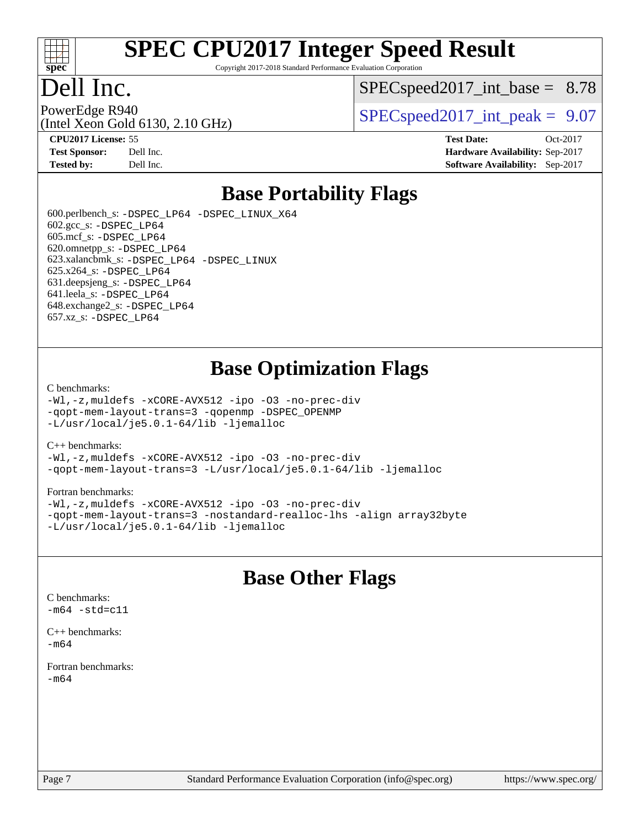

Copyright 2017-2018 Standard Performance Evaluation Corporation

### Dell Inc.

 $SPECspeed2017\_int\_base = 8.78$ 

(Intel Xeon Gold 6130, 2.10 GHz)

PowerEdge R940<br>  $SPEC speed2017$  int\_peak = 9.07

**[CPU2017 License:](http://www.spec.org/auto/cpu2017/Docs/result-fields.html#CPU2017License)** 55 **[Test Date:](http://www.spec.org/auto/cpu2017/Docs/result-fields.html#TestDate)** Oct-2017 **[Test Sponsor:](http://www.spec.org/auto/cpu2017/Docs/result-fields.html#TestSponsor)** Dell Inc. **[Hardware Availability:](http://www.spec.org/auto/cpu2017/Docs/result-fields.html#HardwareAvailability)** Sep-2017 **[Tested by:](http://www.spec.org/auto/cpu2017/Docs/result-fields.html#Testedby)** Dell Inc. **[Software Availability:](http://www.spec.org/auto/cpu2017/Docs/result-fields.html#SoftwareAvailability)** Sep-2017

#### **[Base Portability Flags](http://www.spec.org/auto/cpu2017/Docs/result-fields.html#BasePortabilityFlags)**

 600.perlbench\_s: [-DSPEC\\_LP64](http://www.spec.org/cpu2017/results/res2017q4/cpu2017-20171114-00596.flags.html#b600.perlbench_s_basePORTABILITY_DSPEC_LP64) [-DSPEC\\_LINUX\\_X64](http://www.spec.org/cpu2017/results/res2017q4/cpu2017-20171114-00596.flags.html#b600.perlbench_s_baseCPORTABILITY_DSPEC_LINUX_X64) 602.gcc\_s: [-DSPEC\\_LP64](http://www.spec.org/cpu2017/results/res2017q4/cpu2017-20171114-00596.flags.html#suite_basePORTABILITY602_gcc_s_DSPEC_LP64) 605.mcf\_s: [-DSPEC\\_LP64](http://www.spec.org/cpu2017/results/res2017q4/cpu2017-20171114-00596.flags.html#suite_basePORTABILITY605_mcf_s_DSPEC_LP64) 620.omnetpp\_s: [-DSPEC\\_LP64](http://www.spec.org/cpu2017/results/res2017q4/cpu2017-20171114-00596.flags.html#suite_basePORTABILITY620_omnetpp_s_DSPEC_LP64) 623.xalancbmk\_s: [-DSPEC\\_LP64](http://www.spec.org/cpu2017/results/res2017q4/cpu2017-20171114-00596.flags.html#suite_basePORTABILITY623_xalancbmk_s_DSPEC_LP64) [-DSPEC\\_LINUX](http://www.spec.org/cpu2017/results/res2017q4/cpu2017-20171114-00596.flags.html#b623.xalancbmk_s_baseCXXPORTABILITY_DSPEC_LINUX) 625.x264\_s: [-DSPEC\\_LP64](http://www.spec.org/cpu2017/results/res2017q4/cpu2017-20171114-00596.flags.html#suite_basePORTABILITY625_x264_s_DSPEC_LP64) 631.deepsjeng\_s: [-DSPEC\\_LP64](http://www.spec.org/cpu2017/results/res2017q4/cpu2017-20171114-00596.flags.html#suite_basePORTABILITY631_deepsjeng_s_DSPEC_LP64) 641.leela\_s: [-DSPEC\\_LP64](http://www.spec.org/cpu2017/results/res2017q4/cpu2017-20171114-00596.flags.html#suite_basePORTABILITY641_leela_s_DSPEC_LP64) 648.exchange2\_s: [-DSPEC\\_LP64](http://www.spec.org/cpu2017/results/res2017q4/cpu2017-20171114-00596.flags.html#suite_basePORTABILITY648_exchange2_s_DSPEC_LP64) 657.xz\_s: [-DSPEC\\_LP64](http://www.spec.org/cpu2017/results/res2017q4/cpu2017-20171114-00596.flags.html#suite_basePORTABILITY657_xz_s_DSPEC_LP64)

### **[Base Optimization Flags](http://www.spec.org/auto/cpu2017/Docs/result-fields.html#BaseOptimizationFlags)**

#### [C benchmarks](http://www.spec.org/auto/cpu2017/Docs/result-fields.html#Cbenchmarks):

[-Wl,-z,muldefs](http://www.spec.org/cpu2017/results/res2017q4/cpu2017-20171114-00596.flags.html#user_CCbase_link_force_multiple1_b4cbdb97b34bdee9ceefcfe54f4c8ea74255f0b02a4b23e853cdb0e18eb4525ac79b5a88067c842dd0ee6996c24547a27a4b99331201badda8798ef8a743f577) [-xCORE-AVX512](http://www.spec.org/cpu2017/results/res2017q4/cpu2017-20171114-00596.flags.html#user_CCbase_f-xCORE-AVX512) [-ipo](http://www.spec.org/cpu2017/results/res2017q4/cpu2017-20171114-00596.flags.html#user_CCbase_f-ipo) [-O3](http://www.spec.org/cpu2017/results/res2017q4/cpu2017-20171114-00596.flags.html#user_CCbase_f-O3) [-no-prec-div](http://www.spec.org/cpu2017/results/res2017q4/cpu2017-20171114-00596.flags.html#user_CCbase_f-no-prec-div) [-qopt-mem-layout-trans=3](http://www.spec.org/cpu2017/results/res2017q4/cpu2017-20171114-00596.flags.html#user_CCbase_f-qopt-mem-layout-trans_de80db37974c74b1f0e20d883f0b675c88c3b01e9d123adea9b28688d64333345fb62bc4a798493513fdb68f60282f9a726aa07f478b2f7113531aecce732043) [-qopenmp](http://www.spec.org/cpu2017/results/res2017q4/cpu2017-20171114-00596.flags.html#user_CCbase_qopenmp_16be0c44f24f464004c6784a7acb94aca937f053568ce72f94b139a11c7c168634a55f6653758ddd83bcf7b8463e8028bb0b48b77bcddc6b78d5d95bb1df2967) [-DSPEC\\_OPENMP](http://www.spec.org/cpu2017/results/res2017q4/cpu2017-20171114-00596.flags.html#suite_CCbase_DSPEC_OPENMP) [-L/usr/local/je5.0.1-64/lib](http://www.spec.org/cpu2017/results/res2017q4/cpu2017-20171114-00596.flags.html#user_CCbase_jemalloc_link_path64_4b10a636b7bce113509b17f3bd0d6226c5fb2346b9178c2d0232c14f04ab830f976640479e5c33dc2bcbbdad86ecfb6634cbbd4418746f06f368b512fced5394) [-ljemalloc](http://www.spec.org/cpu2017/results/res2017q4/cpu2017-20171114-00596.flags.html#user_CCbase_jemalloc_link_lib_d1249b907c500fa1c0672f44f562e3d0f79738ae9e3c4a9c376d49f265a04b9c99b167ecedbf6711b3085be911c67ff61f150a17b3472be731631ba4d0471706)

#### [C++ benchmarks:](http://www.spec.org/auto/cpu2017/Docs/result-fields.html#CXXbenchmarks)

[-Wl,-z,muldefs](http://www.spec.org/cpu2017/results/res2017q4/cpu2017-20171114-00596.flags.html#user_CXXbase_link_force_multiple1_b4cbdb97b34bdee9ceefcfe54f4c8ea74255f0b02a4b23e853cdb0e18eb4525ac79b5a88067c842dd0ee6996c24547a27a4b99331201badda8798ef8a743f577) [-xCORE-AVX512](http://www.spec.org/cpu2017/results/res2017q4/cpu2017-20171114-00596.flags.html#user_CXXbase_f-xCORE-AVX512) [-ipo](http://www.spec.org/cpu2017/results/res2017q4/cpu2017-20171114-00596.flags.html#user_CXXbase_f-ipo) [-O3](http://www.spec.org/cpu2017/results/res2017q4/cpu2017-20171114-00596.flags.html#user_CXXbase_f-O3) [-no-prec-div](http://www.spec.org/cpu2017/results/res2017q4/cpu2017-20171114-00596.flags.html#user_CXXbase_f-no-prec-div) [-qopt-mem-layout-trans=3](http://www.spec.org/cpu2017/results/res2017q4/cpu2017-20171114-00596.flags.html#user_CXXbase_f-qopt-mem-layout-trans_de80db37974c74b1f0e20d883f0b675c88c3b01e9d123adea9b28688d64333345fb62bc4a798493513fdb68f60282f9a726aa07f478b2f7113531aecce732043) [-L/usr/local/je5.0.1-64/lib](http://www.spec.org/cpu2017/results/res2017q4/cpu2017-20171114-00596.flags.html#user_CXXbase_jemalloc_link_path64_4b10a636b7bce113509b17f3bd0d6226c5fb2346b9178c2d0232c14f04ab830f976640479e5c33dc2bcbbdad86ecfb6634cbbd4418746f06f368b512fced5394) [-ljemalloc](http://www.spec.org/cpu2017/results/res2017q4/cpu2017-20171114-00596.flags.html#user_CXXbase_jemalloc_link_lib_d1249b907c500fa1c0672f44f562e3d0f79738ae9e3c4a9c376d49f265a04b9c99b167ecedbf6711b3085be911c67ff61f150a17b3472be731631ba4d0471706)

#### [Fortran benchmarks](http://www.spec.org/auto/cpu2017/Docs/result-fields.html#Fortranbenchmarks):

[-Wl,-z,muldefs](http://www.spec.org/cpu2017/results/res2017q4/cpu2017-20171114-00596.flags.html#user_FCbase_link_force_multiple1_b4cbdb97b34bdee9ceefcfe54f4c8ea74255f0b02a4b23e853cdb0e18eb4525ac79b5a88067c842dd0ee6996c24547a27a4b99331201badda8798ef8a743f577) [-xCORE-AVX512](http://www.spec.org/cpu2017/results/res2017q4/cpu2017-20171114-00596.flags.html#user_FCbase_f-xCORE-AVX512) [-ipo](http://www.spec.org/cpu2017/results/res2017q4/cpu2017-20171114-00596.flags.html#user_FCbase_f-ipo) [-O3](http://www.spec.org/cpu2017/results/res2017q4/cpu2017-20171114-00596.flags.html#user_FCbase_f-O3) [-no-prec-div](http://www.spec.org/cpu2017/results/res2017q4/cpu2017-20171114-00596.flags.html#user_FCbase_f-no-prec-div) [-qopt-mem-layout-trans=3](http://www.spec.org/cpu2017/results/res2017q4/cpu2017-20171114-00596.flags.html#user_FCbase_f-qopt-mem-layout-trans_de80db37974c74b1f0e20d883f0b675c88c3b01e9d123adea9b28688d64333345fb62bc4a798493513fdb68f60282f9a726aa07f478b2f7113531aecce732043) [-nostandard-realloc-lhs](http://www.spec.org/cpu2017/results/res2017q4/cpu2017-20171114-00596.flags.html#user_FCbase_f_2003_std_realloc_82b4557e90729c0f113870c07e44d33d6f5a304b4f63d4c15d2d0f1fab99f5daaed73bdb9275d9ae411527f28b936061aa8b9c8f2d63842963b95c9dd6426b8a) [-align array32byte](http://www.spec.org/cpu2017/results/res2017q4/cpu2017-20171114-00596.flags.html#user_FCbase_align_array32byte_b982fe038af199962ba9a80c053b8342c548c85b40b8e86eb3cc33dee0d7986a4af373ac2d51c3f7cf710a18d62fdce2948f201cd044323541f22fc0fffc51b6) [-L/usr/local/je5.0.1-64/lib](http://www.spec.org/cpu2017/results/res2017q4/cpu2017-20171114-00596.flags.html#user_FCbase_jemalloc_link_path64_4b10a636b7bce113509b17f3bd0d6226c5fb2346b9178c2d0232c14f04ab830f976640479e5c33dc2bcbbdad86ecfb6634cbbd4418746f06f368b512fced5394) [-ljemalloc](http://www.spec.org/cpu2017/results/res2017q4/cpu2017-20171114-00596.flags.html#user_FCbase_jemalloc_link_lib_d1249b907c500fa1c0672f44f562e3d0f79738ae9e3c4a9c376d49f265a04b9c99b167ecedbf6711b3085be911c67ff61f150a17b3472be731631ba4d0471706)

#### **[Base Other Flags](http://www.spec.org/auto/cpu2017/Docs/result-fields.html#BaseOtherFlags)**

[C benchmarks](http://www.spec.org/auto/cpu2017/Docs/result-fields.html#Cbenchmarks):  $-m64 - std= c11$  $-m64 - std= c11$ 

[C++ benchmarks:](http://www.spec.org/auto/cpu2017/Docs/result-fields.html#CXXbenchmarks) [-m64](http://www.spec.org/cpu2017/results/res2017q4/cpu2017-20171114-00596.flags.html#user_CXXbase_intel_intel64_18.0_af43caccfc8ded86e7699f2159af6efc7655f51387b94da716254467f3c01020a5059329e2569e4053f409e7c9202a7efc638f7a6d1ffb3f52dea4a3e31d82ab)

[Fortran benchmarks](http://www.spec.org/auto/cpu2017/Docs/result-fields.html#Fortranbenchmarks): [-m64](http://www.spec.org/cpu2017/results/res2017q4/cpu2017-20171114-00596.flags.html#user_FCbase_intel_intel64_18.0_af43caccfc8ded86e7699f2159af6efc7655f51387b94da716254467f3c01020a5059329e2569e4053f409e7c9202a7efc638f7a6d1ffb3f52dea4a3e31d82ab)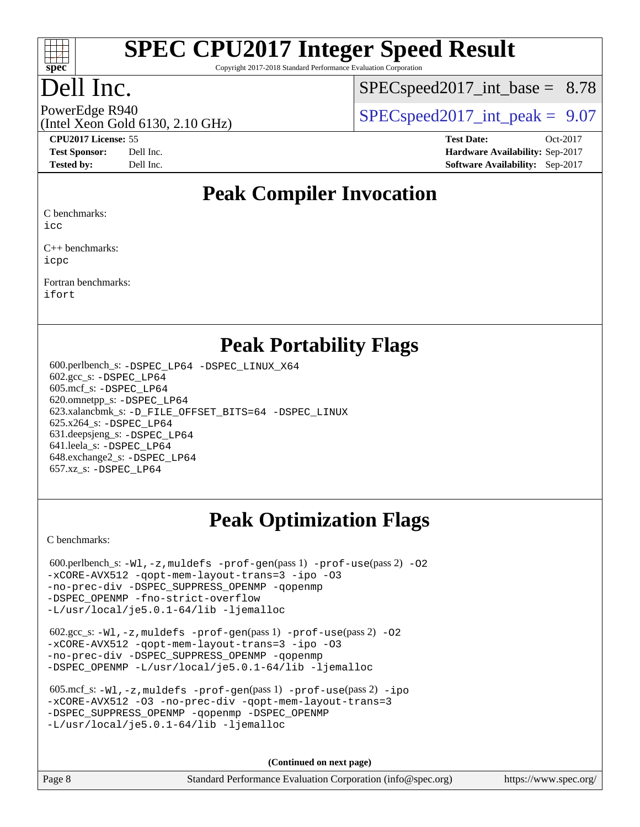

Copyright 2017-2018 Standard Performance Evaluation Corporation

# Dell Inc.

 $SPECspeed2017\_int\_base = 8.78$ 

# (Intel Xeon Gold 6130, 2.10 GHz)

PowerEdge R940<br>  $SPEC speed2017$  int\_peak = 9.07

**[CPU2017 License:](http://www.spec.org/auto/cpu2017/Docs/result-fields.html#CPU2017License)** 55 **[Test Date:](http://www.spec.org/auto/cpu2017/Docs/result-fields.html#TestDate)** Oct-2017 **[Test Sponsor:](http://www.spec.org/auto/cpu2017/Docs/result-fields.html#TestSponsor)** Dell Inc. **[Hardware Availability:](http://www.spec.org/auto/cpu2017/Docs/result-fields.html#HardwareAvailability)** Sep-2017 **[Tested by:](http://www.spec.org/auto/cpu2017/Docs/result-fields.html#Testedby)** Dell Inc. **[Software Availability:](http://www.spec.org/auto/cpu2017/Docs/result-fields.html#SoftwareAvailability)** Sep-2017

#### **[Peak Compiler Invocation](http://www.spec.org/auto/cpu2017/Docs/result-fields.html#PeakCompilerInvocation)**

[C benchmarks](http://www.spec.org/auto/cpu2017/Docs/result-fields.html#Cbenchmarks):

[icc](http://www.spec.org/cpu2017/results/res2017q4/cpu2017-20171114-00596.flags.html#user_CCpeak_intel_icc_18.0_66fc1ee009f7361af1fbd72ca7dcefbb700085f36577c54f309893dd4ec40d12360134090235512931783d35fd58c0460139e722d5067c5574d8eaf2b3e37e92)

[C++ benchmarks:](http://www.spec.org/auto/cpu2017/Docs/result-fields.html#CXXbenchmarks) [icpc](http://www.spec.org/cpu2017/results/res2017q4/cpu2017-20171114-00596.flags.html#user_CXXpeak_intel_icpc_18.0_c510b6838c7f56d33e37e94d029a35b4a7bccf4766a728ee175e80a419847e808290a9b78be685c44ab727ea267ec2f070ec5dc83b407c0218cded6866a35d07)

[Fortran benchmarks](http://www.spec.org/auto/cpu2017/Docs/result-fields.html#Fortranbenchmarks): [ifort](http://www.spec.org/cpu2017/results/res2017q4/cpu2017-20171114-00596.flags.html#user_FCpeak_intel_ifort_18.0_8111460550e3ca792625aed983ce982f94888b8b503583aa7ba2b8303487b4d8a21a13e7191a45c5fd58ff318f48f9492884d4413fa793fd88dd292cad7027ca)

#### **[Peak Portability Flags](http://www.spec.org/auto/cpu2017/Docs/result-fields.html#PeakPortabilityFlags)**

 600.perlbench\_s: [-DSPEC\\_LP64](http://www.spec.org/cpu2017/results/res2017q4/cpu2017-20171114-00596.flags.html#b600.perlbench_s_peakPORTABILITY_DSPEC_LP64) [-DSPEC\\_LINUX\\_X64](http://www.spec.org/cpu2017/results/res2017q4/cpu2017-20171114-00596.flags.html#b600.perlbench_s_peakCPORTABILITY_DSPEC_LINUX_X64) 602.gcc\_s: [-DSPEC\\_LP64](http://www.spec.org/cpu2017/results/res2017q4/cpu2017-20171114-00596.flags.html#suite_peakPORTABILITY602_gcc_s_DSPEC_LP64) 605.mcf\_s: [-DSPEC\\_LP64](http://www.spec.org/cpu2017/results/res2017q4/cpu2017-20171114-00596.flags.html#suite_peakPORTABILITY605_mcf_s_DSPEC_LP64) 620.omnetpp\_s: [-DSPEC\\_LP64](http://www.spec.org/cpu2017/results/res2017q4/cpu2017-20171114-00596.flags.html#suite_peakPORTABILITY620_omnetpp_s_DSPEC_LP64) 623.xalancbmk\_s: [-D\\_FILE\\_OFFSET\\_BITS=64](http://www.spec.org/cpu2017/results/res2017q4/cpu2017-20171114-00596.flags.html#user_peakPORTABILITY623_xalancbmk_s_file_offset_bits_64_5ae949a99b284ddf4e95728d47cb0843d81b2eb0e18bdfe74bbf0f61d0b064f4bda2f10ea5eb90e1dcab0e84dbc592acfc5018bc955c18609f94ddb8d550002c) [-DSPEC\\_LINUX](http://www.spec.org/cpu2017/results/res2017q4/cpu2017-20171114-00596.flags.html#b623.xalancbmk_s_peakCXXPORTABILITY_DSPEC_LINUX) 625.x264\_s: [-DSPEC\\_LP64](http://www.spec.org/cpu2017/results/res2017q4/cpu2017-20171114-00596.flags.html#suite_peakPORTABILITY625_x264_s_DSPEC_LP64) 631.deepsjeng\_s: [-DSPEC\\_LP64](http://www.spec.org/cpu2017/results/res2017q4/cpu2017-20171114-00596.flags.html#suite_peakPORTABILITY631_deepsjeng_s_DSPEC_LP64) 641.leela\_s: [-DSPEC\\_LP64](http://www.spec.org/cpu2017/results/res2017q4/cpu2017-20171114-00596.flags.html#suite_peakPORTABILITY641_leela_s_DSPEC_LP64) 648.exchange2\_s: [-DSPEC\\_LP64](http://www.spec.org/cpu2017/results/res2017q4/cpu2017-20171114-00596.flags.html#suite_peakPORTABILITY648_exchange2_s_DSPEC_LP64) 657.xz\_s: [-DSPEC\\_LP64](http://www.spec.org/cpu2017/results/res2017q4/cpu2017-20171114-00596.flags.html#suite_peakPORTABILITY657_xz_s_DSPEC_LP64)

# **[Peak Optimization Flags](http://www.spec.org/auto/cpu2017/Docs/result-fields.html#PeakOptimizationFlags)**

[C benchmarks](http://www.spec.org/auto/cpu2017/Docs/result-fields.html#Cbenchmarks):

600.perlbench\_s:  $-W1$ , -z, muldefs [-prof-gen](http://www.spec.org/cpu2017/results/res2017q4/cpu2017-20171114-00596.flags.html#user_peakPASS1_CFLAGSPASS1_LDFLAGS600_perlbench_s_prof_gen_5aa4926d6013ddb2a31985c654b3eb18169fc0c6952a63635c234f711e6e63dd76e94ad52365559451ec499a2cdb89e4dc58ba4c67ef54ca681ffbe1461d6b36)(pass 1) [-prof-use](http://www.spec.org/cpu2017/results/res2017q4/cpu2017-20171114-00596.flags.html#user_peakPASS2_CFLAGSPASS2_LDFLAGS600_perlbench_s_prof_use_1a21ceae95f36a2b53c25747139a6c16ca95bd9def2a207b4f0849963b97e94f5260e30a0c64f4bb623698870e679ca08317ef8150905d41bd88c6f78df73f19)(pass 2) -02 [-xCORE-AVX512](http://www.spec.org/cpu2017/results/res2017q4/cpu2017-20171114-00596.flags.html#user_peakPASS2_COPTIMIZE600_perlbench_s_f-xCORE-AVX512) [-qopt-mem-layout-trans=3](http://www.spec.org/cpu2017/results/res2017q4/cpu2017-20171114-00596.flags.html#user_peakPASS1_COPTIMIZEPASS2_COPTIMIZE600_perlbench_s_f-qopt-mem-layout-trans_de80db37974c74b1f0e20d883f0b675c88c3b01e9d123adea9b28688d64333345fb62bc4a798493513fdb68f60282f9a726aa07f478b2f7113531aecce732043) [-ipo](http://www.spec.org/cpu2017/results/res2017q4/cpu2017-20171114-00596.flags.html#user_peakPASS2_COPTIMIZE600_perlbench_s_f-ipo) [-O3](http://www.spec.org/cpu2017/results/res2017q4/cpu2017-20171114-00596.flags.html#user_peakPASS2_COPTIMIZE600_perlbench_s_f-O3) [-no-prec-div](http://www.spec.org/cpu2017/results/res2017q4/cpu2017-20171114-00596.flags.html#user_peakPASS2_COPTIMIZE600_perlbench_s_f-no-prec-div) [-DSPEC\\_SUPPRESS\\_OPENMP](http://www.spec.org/cpu2017/results/res2017q4/cpu2017-20171114-00596.flags.html#suite_peakPASS1_COPTIMIZE600_perlbench_s_DSPEC_SUPPRESS_OPENMP) [-qopenmp](http://www.spec.org/cpu2017/results/res2017q4/cpu2017-20171114-00596.flags.html#user_peakPASS2_COPTIMIZE600_perlbench_s_qopenmp_16be0c44f24f464004c6784a7acb94aca937f053568ce72f94b139a11c7c168634a55f6653758ddd83bcf7b8463e8028bb0b48b77bcddc6b78d5d95bb1df2967) [-DSPEC\\_OPENMP](http://www.spec.org/cpu2017/results/res2017q4/cpu2017-20171114-00596.flags.html#suite_peakPASS2_COPTIMIZE600_perlbench_s_DSPEC_OPENMP) [-fno-strict-overflow](http://www.spec.org/cpu2017/results/res2017q4/cpu2017-20171114-00596.flags.html#user_peakEXTRA_OPTIMIZE600_perlbench_s_f-fno-strict-overflow) [-L/usr/local/je5.0.1-64/lib](http://www.spec.org/cpu2017/results/res2017q4/cpu2017-20171114-00596.flags.html#user_peakEXTRA_LIBS600_perlbench_s_jemalloc_link_path64_4b10a636b7bce113509b17f3bd0d6226c5fb2346b9178c2d0232c14f04ab830f976640479e5c33dc2bcbbdad86ecfb6634cbbd4418746f06f368b512fced5394) [-ljemalloc](http://www.spec.org/cpu2017/results/res2017q4/cpu2017-20171114-00596.flags.html#user_peakEXTRA_LIBS600_perlbench_s_jemalloc_link_lib_d1249b907c500fa1c0672f44f562e3d0f79738ae9e3c4a9c376d49f265a04b9c99b167ecedbf6711b3085be911c67ff61f150a17b3472be731631ba4d0471706)

 602.gcc\_s: [-Wl,-z,muldefs](http://www.spec.org/cpu2017/results/res2017q4/cpu2017-20171114-00596.flags.html#user_peakEXTRA_LDFLAGS602_gcc_s_link_force_multiple1_b4cbdb97b34bdee9ceefcfe54f4c8ea74255f0b02a4b23e853cdb0e18eb4525ac79b5a88067c842dd0ee6996c24547a27a4b99331201badda8798ef8a743f577) [-prof-gen](http://www.spec.org/cpu2017/results/res2017q4/cpu2017-20171114-00596.flags.html#user_peakPASS1_CFLAGSPASS1_LDFLAGS602_gcc_s_prof_gen_5aa4926d6013ddb2a31985c654b3eb18169fc0c6952a63635c234f711e6e63dd76e94ad52365559451ec499a2cdb89e4dc58ba4c67ef54ca681ffbe1461d6b36)(pass 1) [-prof-use](http://www.spec.org/cpu2017/results/res2017q4/cpu2017-20171114-00596.flags.html#user_peakPASS2_CFLAGSPASS2_LDFLAGS602_gcc_s_prof_use_1a21ceae95f36a2b53c25747139a6c16ca95bd9def2a207b4f0849963b97e94f5260e30a0c64f4bb623698870e679ca08317ef8150905d41bd88c6f78df73f19)(pass 2) [-O2](http://www.spec.org/cpu2017/results/res2017q4/cpu2017-20171114-00596.flags.html#user_peakPASS1_COPTIMIZE602_gcc_s_f-O2) [-xCORE-AVX512](http://www.spec.org/cpu2017/results/res2017q4/cpu2017-20171114-00596.flags.html#user_peakPASS2_COPTIMIZE602_gcc_s_f-xCORE-AVX512) [-qopt-mem-layout-trans=3](http://www.spec.org/cpu2017/results/res2017q4/cpu2017-20171114-00596.flags.html#user_peakPASS1_COPTIMIZEPASS2_COPTIMIZE602_gcc_s_f-qopt-mem-layout-trans_de80db37974c74b1f0e20d883f0b675c88c3b01e9d123adea9b28688d64333345fb62bc4a798493513fdb68f60282f9a726aa07f478b2f7113531aecce732043) [-ipo](http://www.spec.org/cpu2017/results/res2017q4/cpu2017-20171114-00596.flags.html#user_peakPASS2_COPTIMIZE602_gcc_s_f-ipo) [-O3](http://www.spec.org/cpu2017/results/res2017q4/cpu2017-20171114-00596.flags.html#user_peakPASS2_COPTIMIZE602_gcc_s_f-O3) [-no-prec-div](http://www.spec.org/cpu2017/results/res2017q4/cpu2017-20171114-00596.flags.html#user_peakPASS2_COPTIMIZE602_gcc_s_f-no-prec-div) [-DSPEC\\_SUPPRESS\\_OPENMP](http://www.spec.org/cpu2017/results/res2017q4/cpu2017-20171114-00596.flags.html#suite_peakPASS1_COPTIMIZE602_gcc_s_DSPEC_SUPPRESS_OPENMP) [-qopenmp](http://www.spec.org/cpu2017/results/res2017q4/cpu2017-20171114-00596.flags.html#user_peakPASS2_COPTIMIZE602_gcc_s_qopenmp_16be0c44f24f464004c6784a7acb94aca937f053568ce72f94b139a11c7c168634a55f6653758ddd83bcf7b8463e8028bb0b48b77bcddc6b78d5d95bb1df2967) [-DSPEC\\_OPENMP](http://www.spec.org/cpu2017/results/res2017q4/cpu2017-20171114-00596.flags.html#suite_peakPASS2_COPTIMIZE602_gcc_s_DSPEC_OPENMP) [-L/usr/local/je5.0.1-64/lib](http://www.spec.org/cpu2017/results/res2017q4/cpu2017-20171114-00596.flags.html#user_peakEXTRA_LIBS602_gcc_s_jemalloc_link_path64_4b10a636b7bce113509b17f3bd0d6226c5fb2346b9178c2d0232c14f04ab830f976640479e5c33dc2bcbbdad86ecfb6634cbbd4418746f06f368b512fced5394) [-ljemalloc](http://www.spec.org/cpu2017/results/res2017q4/cpu2017-20171114-00596.flags.html#user_peakEXTRA_LIBS602_gcc_s_jemalloc_link_lib_d1249b907c500fa1c0672f44f562e3d0f79738ae9e3c4a9c376d49f265a04b9c99b167ecedbf6711b3085be911c67ff61f150a17b3472be731631ba4d0471706)

| 605.mcf s: $-Wl$ , $-z$ , muldefs $-prof-qen(pass 1)$ $-prof-use(pass 2) -ipo$ |
|--------------------------------------------------------------------------------|
| -xCORE-AVX512 -03 -no-prec-div -gopt-mem-layout-trans=3                        |
| -DSPEC SUPPRESS OPENMP - gopenmp - DSPEC OPENMP                                |
| $-L/usr/local/ie5.0.1-64/lib -liemalloc$                                       |

**(Continued on next page)**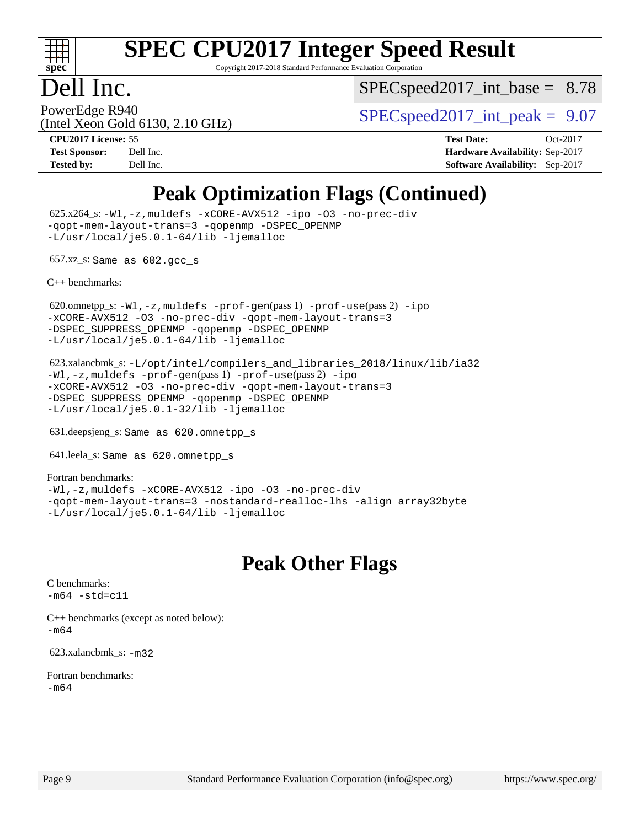

Copyright 2017-2018 Standard Performance Evaluation Corporation

## Dell Inc.

 $SPECspeed2017\_int\_base = 8.78$ 

(Intel Xeon Gold 6130, 2.10 GHz)

PowerEdge R940<br>  $SPEC speed2017$  int peak = 9.07

**[CPU2017 License:](http://www.spec.org/auto/cpu2017/Docs/result-fields.html#CPU2017License)** 55 **[Test Date:](http://www.spec.org/auto/cpu2017/Docs/result-fields.html#TestDate)** Oct-2017 **[Test Sponsor:](http://www.spec.org/auto/cpu2017/Docs/result-fields.html#TestSponsor)** Dell Inc. **[Hardware Availability:](http://www.spec.org/auto/cpu2017/Docs/result-fields.html#HardwareAvailability)** Sep-2017 **[Tested by:](http://www.spec.org/auto/cpu2017/Docs/result-fields.html#Testedby)** Dell Inc. **[Software Availability:](http://www.spec.org/auto/cpu2017/Docs/result-fields.html#SoftwareAvailability)** Sep-2017

## **[Peak Optimization Flags \(Continued\)](http://www.spec.org/auto/cpu2017/Docs/result-fields.html#PeakOptimizationFlags)**

 625.x264\_s: [-Wl,-z,muldefs](http://www.spec.org/cpu2017/results/res2017q4/cpu2017-20171114-00596.flags.html#user_peakEXTRA_LDFLAGS625_x264_s_link_force_multiple1_b4cbdb97b34bdee9ceefcfe54f4c8ea74255f0b02a4b23e853cdb0e18eb4525ac79b5a88067c842dd0ee6996c24547a27a4b99331201badda8798ef8a743f577) [-xCORE-AVX512](http://www.spec.org/cpu2017/results/res2017q4/cpu2017-20171114-00596.flags.html#user_peakCOPTIMIZE625_x264_s_f-xCORE-AVX512) [-ipo](http://www.spec.org/cpu2017/results/res2017q4/cpu2017-20171114-00596.flags.html#user_peakCOPTIMIZE625_x264_s_f-ipo) [-O3](http://www.spec.org/cpu2017/results/res2017q4/cpu2017-20171114-00596.flags.html#user_peakCOPTIMIZE625_x264_s_f-O3) [-no-prec-div](http://www.spec.org/cpu2017/results/res2017q4/cpu2017-20171114-00596.flags.html#user_peakCOPTIMIZE625_x264_s_f-no-prec-div) [-qopt-mem-layout-trans=3](http://www.spec.org/cpu2017/results/res2017q4/cpu2017-20171114-00596.flags.html#user_peakCOPTIMIZE625_x264_s_f-qopt-mem-layout-trans_de80db37974c74b1f0e20d883f0b675c88c3b01e9d123adea9b28688d64333345fb62bc4a798493513fdb68f60282f9a726aa07f478b2f7113531aecce732043) [-qopenmp](http://www.spec.org/cpu2017/results/res2017q4/cpu2017-20171114-00596.flags.html#user_peakCOPTIMIZE625_x264_s_qopenmp_16be0c44f24f464004c6784a7acb94aca937f053568ce72f94b139a11c7c168634a55f6653758ddd83bcf7b8463e8028bb0b48b77bcddc6b78d5d95bb1df2967) [-DSPEC\\_OPENMP](http://www.spec.org/cpu2017/results/res2017q4/cpu2017-20171114-00596.flags.html#suite_peakCOPTIMIZE625_x264_s_DSPEC_OPENMP) [-L/usr/local/je5.0.1-64/lib](http://www.spec.org/cpu2017/results/res2017q4/cpu2017-20171114-00596.flags.html#user_peakEXTRA_LIBS625_x264_s_jemalloc_link_path64_4b10a636b7bce113509b17f3bd0d6226c5fb2346b9178c2d0232c14f04ab830f976640479e5c33dc2bcbbdad86ecfb6634cbbd4418746f06f368b512fced5394) [-ljemalloc](http://www.spec.org/cpu2017/results/res2017q4/cpu2017-20171114-00596.flags.html#user_peakEXTRA_LIBS625_x264_s_jemalloc_link_lib_d1249b907c500fa1c0672f44f562e3d0f79738ae9e3c4a9c376d49f265a04b9c99b167ecedbf6711b3085be911c67ff61f150a17b3472be731631ba4d0471706)

657.xz\_s: Same as 602.gcc\_s

[C++ benchmarks:](http://www.spec.org/auto/cpu2017/Docs/result-fields.html#CXXbenchmarks)

620.omnetpp\_s: $-W1$ ,-z,muldefs -prof-qen(pass 1) [-prof-use](http://www.spec.org/cpu2017/results/res2017q4/cpu2017-20171114-00596.flags.html#user_peakPASS2_CXXFLAGSPASS2_LDFLAGS620_omnetpp_s_prof_use_1a21ceae95f36a2b53c25747139a6c16ca95bd9def2a207b4f0849963b97e94f5260e30a0c64f4bb623698870e679ca08317ef8150905d41bd88c6f78df73f19)(pass 2) [-ipo](http://www.spec.org/cpu2017/results/res2017q4/cpu2017-20171114-00596.flags.html#user_peakPASS1_CXXOPTIMIZEPASS2_CXXOPTIMIZE620_omnetpp_s_f-ipo) [-xCORE-AVX512](http://www.spec.org/cpu2017/results/res2017q4/cpu2017-20171114-00596.flags.html#user_peakPASS2_CXXOPTIMIZE620_omnetpp_s_f-xCORE-AVX512) [-O3](http://www.spec.org/cpu2017/results/res2017q4/cpu2017-20171114-00596.flags.html#user_peakPASS1_CXXOPTIMIZEPASS2_CXXOPTIMIZE620_omnetpp_s_f-O3) [-no-prec-div](http://www.spec.org/cpu2017/results/res2017q4/cpu2017-20171114-00596.flags.html#user_peakPASS1_CXXOPTIMIZEPASS2_CXXOPTIMIZE620_omnetpp_s_f-no-prec-div) [-qopt-mem-layout-trans=3](http://www.spec.org/cpu2017/results/res2017q4/cpu2017-20171114-00596.flags.html#user_peakPASS1_CXXOPTIMIZEPASS2_CXXOPTIMIZE620_omnetpp_s_f-qopt-mem-layout-trans_de80db37974c74b1f0e20d883f0b675c88c3b01e9d123adea9b28688d64333345fb62bc4a798493513fdb68f60282f9a726aa07f478b2f7113531aecce732043) [-DSPEC\\_SUPPRESS\\_OPENMP](http://www.spec.org/cpu2017/results/res2017q4/cpu2017-20171114-00596.flags.html#suite_peakPASS1_CXXOPTIMIZE620_omnetpp_s_DSPEC_SUPPRESS_OPENMP) [-qopenmp](http://www.spec.org/cpu2017/results/res2017q4/cpu2017-20171114-00596.flags.html#user_peakPASS2_CXXOPTIMIZE620_omnetpp_s_qopenmp_16be0c44f24f464004c6784a7acb94aca937f053568ce72f94b139a11c7c168634a55f6653758ddd83bcf7b8463e8028bb0b48b77bcddc6b78d5d95bb1df2967) [-DSPEC\\_OPENMP](http://www.spec.org/cpu2017/results/res2017q4/cpu2017-20171114-00596.flags.html#suite_peakPASS2_CXXOPTIMIZE620_omnetpp_s_DSPEC_OPENMP) [-L/usr/local/je5.0.1-64/lib](http://www.spec.org/cpu2017/results/res2017q4/cpu2017-20171114-00596.flags.html#user_peakEXTRA_LIBS620_omnetpp_s_jemalloc_link_path64_4b10a636b7bce113509b17f3bd0d6226c5fb2346b9178c2d0232c14f04ab830f976640479e5c33dc2bcbbdad86ecfb6634cbbd4418746f06f368b512fced5394) [-ljemalloc](http://www.spec.org/cpu2017/results/res2017q4/cpu2017-20171114-00596.flags.html#user_peakEXTRA_LIBS620_omnetpp_s_jemalloc_link_lib_d1249b907c500fa1c0672f44f562e3d0f79738ae9e3c4a9c376d49f265a04b9c99b167ecedbf6711b3085be911c67ff61f150a17b3472be731631ba4d0471706)

 623.xalancbmk\_s: [-L/opt/intel/compilers\\_and\\_libraries\\_2018/linux/lib/ia32](http://www.spec.org/cpu2017/results/res2017q4/cpu2017-20171114-00596.flags.html#user_peakCXXLD623_xalancbmk_s_Enable-32bit-runtime_af243bdb1d79e4c7a4f720bf8275e627de2ecd461de63307bc14cef0633fde3cd7bb2facb32dcc8be9566045fb55d40ce2b72b725f73827aa7833441b71b9343) [-Wl,-z,muldefs](http://www.spec.org/cpu2017/results/res2017q4/cpu2017-20171114-00596.flags.html#user_peakEXTRA_LDFLAGS623_xalancbmk_s_link_force_multiple1_b4cbdb97b34bdee9ceefcfe54f4c8ea74255f0b02a4b23e853cdb0e18eb4525ac79b5a88067c842dd0ee6996c24547a27a4b99331201badda8798ef8a743f577) [-prof-gen](http://www.spec.org/cpu2017/results/res2017q4/cpu2017-20171114-00596.flags.html#user_peakPASS1_CXXFLAGSPASS1_LDFLAGS623_xalancbmk_s_prof_gen_5aa4926d6013ddb2a31985c654b3eb18169fc0c6952a63635c234f711e6e63dd76e94ad52365559451ec499a2cdb89e4dc58ba4c67ef54ca681ffbe1461d6b36)(pass 1) [-prof-use](http://www.spec.org/cpu2017/results/res2017q4/cpu2017-20171114-00596.flags.html#user_peakPASS2_CXXFLAGSPASS2_LDFLAGS623_xalancbmk_s_prof_use_1a21ceae95f36a2b53c25747139a6c16ca95bd9def2a207b4f0849963b97e94f5260e30a0c64f4bb623698870e679ca08317ef8150905d41bd88c6f78df73f19)(pass 2) [-ipo](http://www.spec.org/cpu2017/results/res2017q4/cpu2017-20171114-00596.flags.html#user_peakPASS1_CXXOPTIMIZEPASS2_CXXOPTIMIZE623_xalancbmk_s_f-ipo) [-xCORE-AVX512](http://www.spec.org/cpu2017/results/res2017q4/cpu2017-20171114-00596.flags.html#user_peakPASS2_CXXOPTIMIZE623_xalancbmk_s_f-xCORE-AVX512) [-O3](http://www.spec.org/cpu2017/results/res2017q4/cpu2017-20171114-00596.flags.html#user_peakPASS1_CXXOPTIMIZEPASS2_CXXOPTIMIZE623_xalancbmk_s_f-O3) [-no-prec-div](http://www.spec.org/cpu2017/results/res2017q4/cpu2017-20171114-00596.flags.html#user_peakPASS1_CXXOPTIMIZEPASS2_CXXOPTIMIZE623_xalancbmk_s_f-no-prec-div) [-qopt-mem-layout-trans=3](http://www.spec.org/cpu2017/results/res2017q4/cpu2017-20171114-00596.flags.html#user_peakPASS1_CXXOPTIMIZEPASS2_CXXOPTIMIZE623_xalancbmk_s_f-qopt-mem-layout-trans_de80db37974c74b1f0e20d883f0b675c88c3b01e9d123adea9b28688d64333345fb62bc4a798493513fdb68f60282f9a726aa07f478b2f7113531aecce732043) [-DSPEC\\_SUPPRESS\\_OPENMP](http://www.spec.org/cpu2017/results/res2017q4/cpu2017-20171114-00596.flags.html#suite_peakPASS1_CXXOPTIMIZE623_xalancbmk_s_DSPEC_SUPPRESS_OPENMP) [-qopenmp](http://www.spec.org/cpu2017/results/res2017q4/cpu2017-20171114-00596.flags.html#user_peakPASS2_CXXOPTIMIZE623_xalancbmk_s_qopenmp_16be0c44f24f464004c6784a7acb94aca937f053568ce72f94b139a11c7c168634a55f6653758ddd83bcf7b8463e8028bb0b48b77bcddc6b78d5d95bb1df2967) [-DSPEC\\_OPENMP](http://www.spec.org/cpu2017/results/res2017q4/cpu2017-20171114-00596.flags.html#suite_peakPASS2_CXXOPTIMIZE623_xalancbmk_s_DSPEC_OPENMP) [-L/usr/local/je5.0.1-32/lib](http://www.spec.org/cpu2017/results/res2017q4/cpu2017-20171114-00596.flags.html#user_peakEXTRA_LIBS623_xalancbmk_s_jemalloc_link_path32_e29f22e8e6c17053bbc6a0971f5a9c01a601a06bb1a59df2084b77a2fe0a2995b64fd4256feaeea39eeba3aae142e96e2b2b0a28974019c0c0c88139a84f900a) [-ljemalloc](http://www.spec.org/cpu2017/results/res2017q4/cpu2017-20171114-00596.flags.html#user_peakEXTRA_LIBS623_xalancbmk_s_jemalloc_link_lib_d1249b907c500fa1c0672f44f562e3d0f79738ae9e3c4a9c376d49f265a04b9c99b167ecedbf6711b3085be911c67ff61f150a17b3472be731631ba4d0471706)

631.deepsjeng\_s: Same as 620.omnetpp\_s

641.leela\_s: Same as 620.omnetpp\_s

[Fortran benchmarks](http://www.spec.org/auto/cpu2017/Docs/result-fields.html#Fortranbenchmarks): [-Wl,-z,muldefs](http://www.spec.org/cpu2017/results/res2017q4/cpu2017-20171114-00596.flags.html#user_FCpeak_link_force_multiple1_b4cbdb97b34bdee9ceefcfe54f4c8ea74255f0b02a4b23e853cdb0e18eb4525ac79b5a88067c842dd0ee6996c24547a27a4b99331201badda8798ef8a743f577) [-xCORE-AVX512](http://www.spec.org/cpu2017/results/res2017q4/cpu2017-20171114-00596.flags.html#user_FCpeak_f-xCORE-AVX512) [-ipo](http://www.spec.org/cpu2017/results/res2017q4/cpu2017-20171114-00596.flags.html#user_FCpeak_f-ipo) [-O3](http://www.spec.org/cpu2017/results/res2017q4/cpu2017-20171114-00596.flags.html#user_FCpeak_f-O3) [-no-prec-div](http://www.spec.org/cpu2017/results/res2017q4/cpu2017-20171114-00596.flags.html#user_FCpeak_f-no-prec-div) [-qopt-mem-layout-trans=3](http://www.spec.org/cpu2017/results/res2017q4/cpu2017-20171114-00596.flags.html#user_FCpeak_f-qopt-mem-layout-trans_de80db37974c74b1f0e20d883f0b675c88c3b01e9d123adea9b28688d64333345fb62bc4a798493513fdb68f60282f9a726aa07f478b2f7113531aecce732043) [-nostandard-realloc-lhs](http://www.spec.org/cpu2017/results/res2017q4/cpu2017-20171114-00596.flags.html#user_FCpeak_f_2003_std_realloc_82b4557e90729c0f113870c07e44d33d6f5a304b4f63d4c15d2d0f1fab99f5daaed73bdb9275d9ae411527f28b936061aa8b9c8f2d63842963b95c9dd6426b8a) [-align array32byte](http://www.spec.org/cpu2017/results/res2017q4/cpu2017-20171114-00596.flags.html#user_FCpeak_align_array32byte_b982fe038af199962ba9a80c053b8342c548c85b40b8e86eb3cc33dee0d7986a4af373ac2d51c3f7cf710a18d62fdce2948f201cd044323541f22fc0fffc51b6) [-L/usr/local/je5.0.1-64/lib](http://www.spec.org/cpu2017/results/res2017q4/cpu2017-20171114-00596.flags.html#user_FCpeak_jemalloc_link_path64_4b10a636b7bce113509b17f3bd0d6226c5fb2346b9178c2d0232c14f04ab830f976640479e5c33dc2bcbbdad86ecfb6634cbbd4418746f06f368b512fced5394) [-ljemalloc](http://www.spec.org/cpu2017/results/res2017q4/cpu2017-20171114-00596.flags.html#user_FCpeak_jemalloc_link_lib_d1249b907c500fa1c0672f44f562e3d0f79738ae9e3c4a9c376d49f265a04b9c99b167ecedbf6711b3085be911c67ff61f150a17b3472be731631ba4d0471706)

#### **[Peak Other Flags](http://www.spec.org/auto/cpu2017/Docs/result-fields.html#PeakOtherFlags)**

[C benchmarks](http://www.spec.org/auto/cpu2017/Docs/result-fields.html#Cbenchmarks):  $-m64 - std= c11$  $-m64 - std= c11$ 

[C++ benchmarks \(except as noted below\):](http://www.spec.org/auto/cpu2017/Docs/result-fields.html#CXXbenchmarksexceptasnotedbelow) [-m64](http://www.spec.org/cpu2017/results/res2017q4/cpu2017-20171114-00596.flags.html#user_CXXpeak_intel_intel64_18.0_af43caccfc8ded86e7699f2159af6efc7655f51387b94da716254467f3c01020a5059329e2569e4053f409e7c9202a7efc638f7a6d1ffb3f52dea4a3e31d82ab)

623.xalancbmk\_s: [-m32](http://www.spec.org/cpu2017/results/res2017q4/cpu2017-20171114-00596.flags.html#user_peakCXXLD623_xalancbmk_s_intel_ia32_18.0_2666f1173eb60787016b673bfe1358e27016ef7649ea4884b7bc6187fd89dc221d14632e22638cde1c647a518de97358ab15d4ad098ee4e19a8b28d0c25e14bf)

[Fortran benchmarks](http://www.spec.org/auto/cpu2017/Docs/result-fields.html#Fortranbenchmarks): [-m64](http://www.spec.org/cpu2017/results/res2017q4/cpu2017-20171114-00596.flags.html#user_FCpeak_intel_intel64_18.0_af43caccfc8ded86e7699f2159af6efc7655f51387b94da716254467f3c01020a5059329e2569e4053f409e7c9202a7efc638f7a6d1ffb3f52dea4a3e31d82ab)